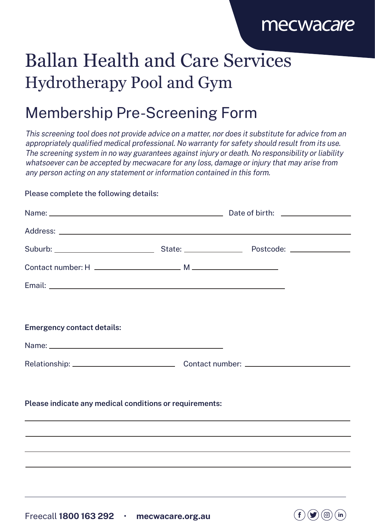### mecwacare

 $( f )$ 

 $(in)$ 

(၂၀၂)

# Ballan Health and Care Services Hydrotherapy Pool and Gym

### Membership Pre-Screening Form

This screening tool does not provide advice on a matter, nor does it substitute for advice from an appropriately qualified medical professional. No warranty for safety should result from its use. The screening system in no way guarantees against injury or death. No responsibility or liability whatsoever can be accepted by mecwacare for any loss, damage or injury that may arise from any person acting on any statement or information contained in this form.

#### Please complete the following details:

| <b>Emergency contact details:</b>                                                                                                                                                                                                    |  |  |
|--------------------------------------------------------------------------------------------------------------------------------------------------------------------------------------------------------------------------------------|--|--|
|                                                                                                                                                                                                                                      |  |  |
|                                                                                                                                                                                                                                      |  |  |
|                                                                                                                                                                                                                                      |  |  |
| Please indicate any medical conditions or requirements:                                                                                                                                                                              |  |  |
|                                                                                                                                                                                                                                      |  |  |
| <u> 2000 - Andrea Andrewski, amerikansk politik (d. 1989)</u><br><u> 1989 - Johann Harry Harry Harry Harry Harry Harry Harry Harry Harry Harry Harry Harry Harry Harry Harry Harry</u>                                               |  |  |
|                                                                                                                                                                                                                                      |  |  |
|                                                                                                                                                                                                                                      |  |  |
| <u>a sa mga banda ng mga banda ng mga banda ng mga banda ng mga banda ng mga banda ng mga banda ng mga banda ng mga banda ng mga banda ng mga banda ng mga banda ng mga banda ng mga banda ng mga banda ng mga banda ng mga band</u> |  |  |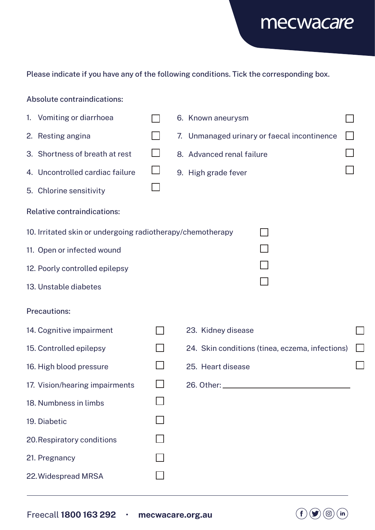

 $\Box$ 

#### Please indicate if you have any of the following conditions. Tick the corresponding box.

#### 1. Vomiting or diarrhoea  $\Box$ 6. Known aneurysm  $\Box$ 2. Resting angina  $\Box$ 3. Shortness of breath at rest  $\Box$ 4. Uncontrolled cardiac failure

 $\Box$ 7. Unmanaged urinary or faecal incontinence 8. Advanced renal failure 9. High grade fever

 $\Box$ 

#### Relative contraindications:

5. Chlorine sensitivity

Absolute contraindications:

10. Irritated skin or undergoing radiotherapy/chemotherapy

 $\Box$ 

- 11. Open or infected wound
- 12. Poorly controlled epilepsy
- 13. Unstable diabetes

#### Precautions:

| 14. Cognitive impairment       | 23. Kidney disease                              |  |
|--------------------------------|-------------------------------------------------|--|
| 15. Controlled epilepsy        | 24. Skin conditions (tinea, eczema, infections) |  |
| 16. High blood pressure        | 25. Heart disease                               |  |
| 17. Vision/hearing impairments |                                                 |  |
| 18. Numbness in limbs          |                                                 |  |
| 19. Diabetic                   |                                                 |  |
| 20. Respiratory conditions     |                                                 |  |
| 21. Pregnancy                  |                                                 |  |
| 22. Widespread MRSA            |                                                 |  |

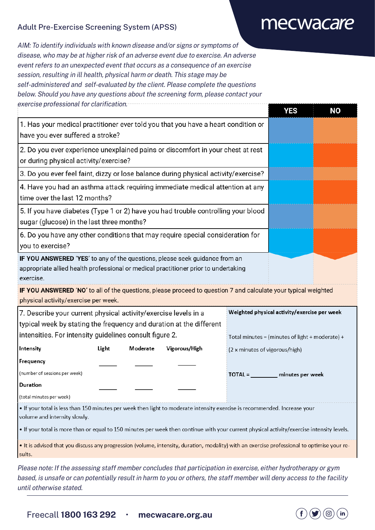#### Adult Pre-Exercise Screening System (APSS)

## mecwacare

AIM: To identify individuals with known disease and/or signs or symptoms of disease, who may be at higher risk of an adverse event due to exercise. An adverse event refers to an unexpected event that occurs as a consequence of an exercise session, resulting in ill health, physical harm or death. This stage may be self-administered and self-evaluated by the client. Please complete the questions below. Should you have any questions about the screening form, please contact your exercise professional for clarification.

|                                                                                                                                                                                                                                                                                                                                           |       |          |               | <b>YES</b>                                      | <b>NO</b>                                    |  |
|-------------------------------------------------------------------------------------------------------------------------------------------------------------------------------------------------------------------------------------------------------------------------------------------------------------------------------------------|-------|----------|---------------|-------------------------------------------------|----------------------------------------------|--|
| 1. Has your medical practitioner ever told you that you have a heart condition or<br>have you ever suffered a stroke?                                                                                                                                                                                                                     |       |          |               |                                                 |                                              |  |
| 2. Do you ever experience unexplained pains or discomfort in your chest at rest<br>or during physical activity/exercise?                                                                                                                                                                                                                  |       |          |               |                                                 |                                              |  |
| 3. Do you ever feel faint, dizzy or lose balance during physical activity/exercise?                                                                                                                                                                                                                                                       |       |          |               |                                                 |                                              |  |
| 4. Have you had an asthma attack requiring immediate medical attention at any<br>time over the last 12 months?                                                                                                                                                                                                                            |       |          |               |                                                 |                                              |  |
| 5. If you have diabetes (Type 1 or 2) have you had trouble controlling your blood<br>sugar (glucose) in the last three months?                                                                                                                                                                                                            |       |          |               |                                                 |                                              |  |
| 6. Do you have any other conditions that may require special consideration for<br>you to exercise?                                                                                                                                                                                                                                        |       |          |               |                                                 |                                              |  |
| IF YOU ANSWERED 'YES' to any of the questions, please seek guidance from an<br>appropriate allied health professional or medical practitioner prior to undertaking<br>exercise.<br>IF YOU ANSWERED 'NO' to all of the questions, please proceed to question 7 and calculate your typical weighted<br>physical activity/exercise per week. |       |          |               |                                                 |                                              |  |
| 7. Describe your current physical activity/exercise levels in a                                                                                                                                                                                                                                                                           |       |          |               |                                                 | Weighted physical activity/exercise per week |  |
| typical week by stating the frequency and duration at the different<br>intensities. For intensity guidelines consult figure 2.                                                                                                                                                                                                            |       |          |               | Total minutes = (minutes of light + moderate) + |                                              |  |
| Intensity                                                                                                                                                                                                                                                                                                                                 | Light | Moderate | Vigorous/High |                                                 | (2 x minutes of vigorous/high)               |  |
| Frequency<br>(number of sessions per week)<br>Duration                                                                                                                                                                                                                                                                                    |       |          |               |                                                 | TOTAL = __________ minutes per week          |  |
| (total minutes per week)                                                                                                                                                                                                                                                                                                                  |       |          |               |                                                 |                                              |  |
| . If your total is less than 150 minutes per week then light to moderate intensity exercise is recommended. Increase your<br>volume and intensity slowly.                                                                                                                                                                                 |       |          |               |                                                 |                                              |  |
| . If your total is more than or equal to 150 minutes per week then continue with your current physical activity/exercise intensity levels.                                                                                                                                                                                                |       |          |               |                                                 |                                              |  |
| . It is advised that you discuss any progression (volume, intensity, duration, modality) with an exercise professional to optimise your re-<br>sults.                                                                                                                                                                                     |       |          |               |                                                 |                                              |  |
| Please note: If the assessing staff member concludes that participation in exercise, either hydrotherapy or gym<br>hoogel is uponto as easy patentially requit in began to you as others, the staff member will depy escape to the feelity                                                                                                |       |          |               |                                                 |                                              |  |

based, is unsafe or can potentially result in harm to you or others, the staff member will deny access to the facility until otherwise stated.

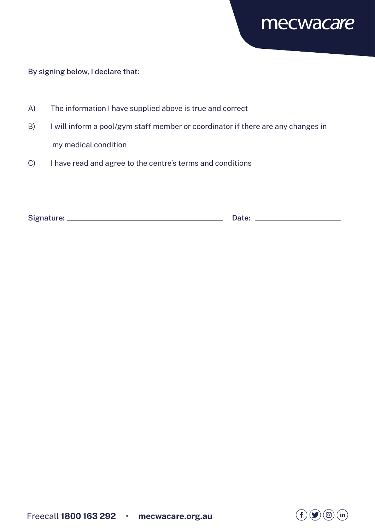

### By signing below, I declare that:

- A) The information I have supplied above is true and correct
- B) I will inform a pool/gym staff member or coordinator if there are any changes in my medical condition
- C) I have read and agree to the centre's terms and conditions

| Signature: | Date: |
|------------|-------|
|            |       |

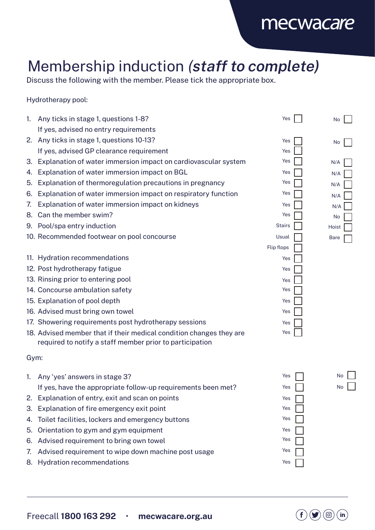### mecwacare

## Membership induction (staff to complete)

Discuss the following with the member. Please tick the appropriate box.

Hydrotherapy pool:

| 1.   | Any ticks in stage 1, questions 1-8?                                | Yes               | No          |
|------|---------------------------------------------------------------------|-------------------|-------------|
|      | If yes, advised no entry requirements                               |                   |             |
|      | 2. Any ticks in stage 1, questions 10-13?                           | Yes               | No          |
|      | If yes, advised GP clearance requirement                            | Yes               |             |
| 3.   | Explanation of water immersion impact on cardiovascular system      | Yes               | N/A         |
| 4.   | Explanation of water immersion impact on BGL                        | Yes               | N/A         |
| 5.   | Explanation of thermoregulation precautions in pregnancy            | Yes               | N/A         |
| 6.   | Explanation of water immersion impact on respiratory function       | Yes               | N/A         |
| 7.   | Explanation of water immersion impact on kidneys                    | Yes               | N/A         |
| 8.   | Can the member swim?                                                | Yes               | No          |
| 9.   | Pool/spa entry induction                                            | <b>Stairs</b>     | Hoist       |
|      | 10. Recommended footwear on pool concourse                          | Usual             | <b>Bare</b> |
|      |                                                                     | <b>Flip flops</b> |             |
|      | 11. Hydration recommendations                                       | Yes               |             |
|      | 12. Post hydrotherapy fatigue                                       | Yes               |             |
|      | 13. Rinsing prior to entering pool                                  | Yes               |             |
|      | 14. Concourse ambulation safety                                     | Yes               |             |
|      | 15. Explanation of pool depth                                       | Yes               |             |
|      | 16. Advised must bring own towel                                    | Yes               |             |
|      | 17. Showering requirements post hydrotherapy sessions               | Yes               |             |
|      | 18. Advised member that if their medical condition changes they are | Yes               |             |
|      | required to notify a staff member prior to participation            |                   |             |
| Gym: |                                                                     |                   |             |
| 1.   | Any 'yes' answers in stage 3?                                       | Yes               | No          |
|      | If yes, have the appropriate follow-up requirements been met?       | Yes               | No          |
|      | Explanation of entry, exit and scan on points                       | Yes               |             |
| 3.   | Explanation of fire emergency exit point                            | Yes               |             |
| 4.   | Toilet facilities, lockers and emergency buttons                    | Yes               |             |
| 5.   | Orientation to gym and gym equipment                                | Yes               |             |
| 6.   | Advised requirement to bring own towel                              | Yes               |             |

8. Hydration recommendations

7. Advised requirement to wipe down machine post usage



Yes Yes